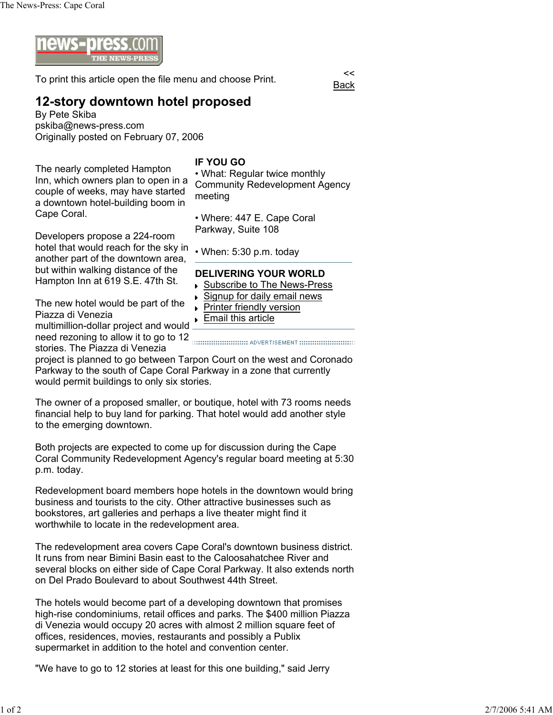

To print this article open the file menu and choose Print.

## **12-story downtown hotel proposed**

By Pete Skiba pskiba@news-press.com Originally posted on February 07, 2006

The nearly completed Hampton Inn, which owners plan to open in a couple of weeks, may have started a downtown hotel-building boom in Cape Coral.

## **IF YOU GO**

• What: Regular twice monthly Community Redevelopment Agency meeting

Back

• Where: 447 E. Cape Coral Parkway, Suite 108

**Printer friendly version Email this article** 

Developers propose a 224-room hotel that would reach for the sky in another part of the downtown area, but within walking distance of the Hampton Inn at 619 S.E. 47th St.

The new hotel would be part of the Piazza di Venezia multimillion-dollar project and would

need rezoning to allow it to go to 12 **manually allowsky** abvertisement **in the contract of the contract of the contract of the contract of the contract of the contract of the contract of the contract of the contract of th** stories. The Piazza di Venezia

project is planned to go between Tarpon Court on the west and Coronado Parkway to the south of Cape Coral Parkway in a zone that currently would permit buildings to only six stories.

The owner of a proposed smaller, or boutique, hotel with 73 rooms needs financial help to buy land for parking. That hotel would add another style to the emerging downtown.

Both projects are expected to come up for discussion during the Cape Coral Community Redevelopment Agency's regular board meeting at 5:30 p.m. today.

Redevelopment board members hope hotels in the downtown would bring business and tourists to the city. Other attractive businesses such as bookstores, art galleries and perhaps a live theater might find it worthwhile to locate in the redevelopment area.

The redevelopment area covers Cape Coral's downtown business district. It runs from near Bimini Basin east to the Caloosahatchee River and several blocks on either side of Cape Coral Parkway. It also extends north on Del Prado Boulevard to about Southwest 44th Street.

The hotels would become part of a developing downtown that promises high-rise condominiums, retail offices and parks. The \$400 million Piazza di Venezia would occupy 20 acres with almost 2 million square feet of offices, residences, movies, restaurants and possibly a Publix supermarket in addition to the hotel and convention center.

"We have to go to 12 stories at least for this one building," said Jerry

• When: 5:30 p.m. today **DELIVERING YOUR WORLD** ▶ Subscribe to The News-Press Signup for daily email news